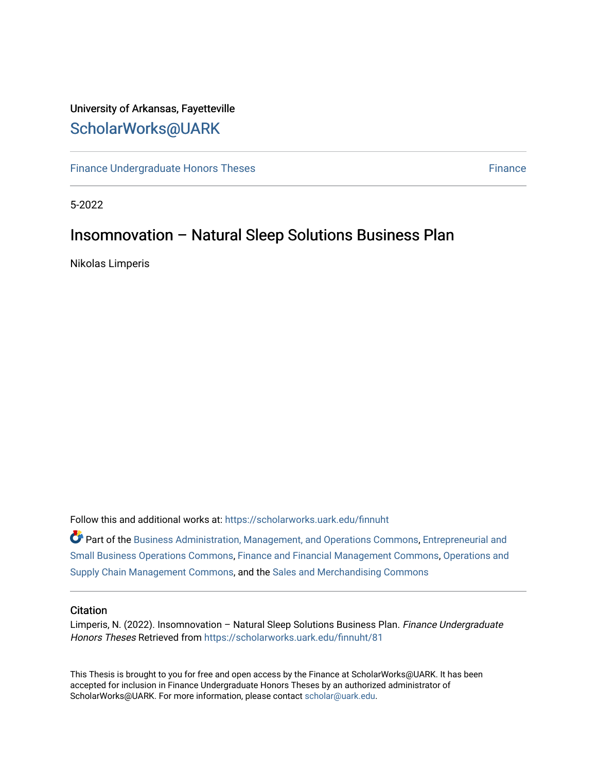# University of Arkansas, Fayetteville [ScholarWorks@UARK](https://scholarworks.uark.edu/)

[Finance Undergraduate Honors Theses](https://scholarworks.uark.edu/finnuht) [Finance](https://scholarworks.uark.edu/finn) **Finance Finance** 

5-2022

# Insomnovation – Natural Sleep Solutions Business Plan

Nikolas Limperis

Follow this and additional works at: [https://scholarworks.uark.edu/finnuht](https://scholarworks.uark.edu/finnuht?utm_source=scholarworks.uark.edu%2Ffinnuht%2F81&utm_medium=PDF&utm_campaign=PDFCoverPages)

Part of the [Business Administration, Management, and Operations Commons](http://network.bepress.com/hgg/discipline/623?utm_source=scholarworks.uark.edu%2Ffinnuht%2F81&utm_medium=PDF&utm_campaign=PDFCoverPages), [Entrepreneurial and](http://network.bepress.com/hgg/discipline/630?utm_source=scholarworks.uark.edu%2Ffinnuht%2F81&utm_medium=PDF&utm_campaign=PDFCoverPages) [Small Business Operations Commons](http://network.bepress.com/hgg/discipline/630?utm_source=scholarworks.uark.edu%2Ffinnuht%2F81&utm_medium=PDF&utm_campaign=PDFCoverPages), [Finance and Financial Management Commons](http://network.bepress.com/hgg/discipline/631?utm_source=scholarworks.uark.edu%2Ffinnuht%2F81&utm_medium=PDF&utm_campaign=PDFCoverPages), [Operations and](http://network.bepress.com/hgg/discipline/1229?utm_source=scholarworks.uark.edu%2Ffinnuht%2F81&utm_medium=PDF&utm_campaign=PDFCoverPages) [Supply Chain Management Commons,](http://network.bepress.com/hgg/discipline/1229?utm_source=scholarworks.uark.edu%2Ffinnuht%2F81&utm_medium=PDF&utm_campaign=PDFCoverPages) and the [Sales and Merchandising Commons](http://network.bepress.com/hgg/discipline/646?utm_source=scholarworks.uark.edu%2Ffinnuht%2F81&utm_medium=PDF&utm_campaign=PDFCoverPages) 

#### **Citation**

Limperis, N. (2022). Insomnovation - Natural Sleep Solutions Business Plan. Finance Undergraduate Honors Theses Retrieved from [https://scholarworks.uark.edu/finnuht/81](https://scholarworks.uark.edu/finnuht/81?utm_source=scholarworks.uark.edu%2Ffinnuht%2F81&utm_medium=PDF&utm_campaign=PDFCoverPages)

This Thesis is brought to you for free and open access by the Finance at ScholarWorks@UARK. It has been accepted for inclusion in Finance Undergraduate Honors Theses by an authorized administrator of ScholarWorks@UARK. For more information, please contact [scholar@uark.edu](mailto:scholar@uark.edu).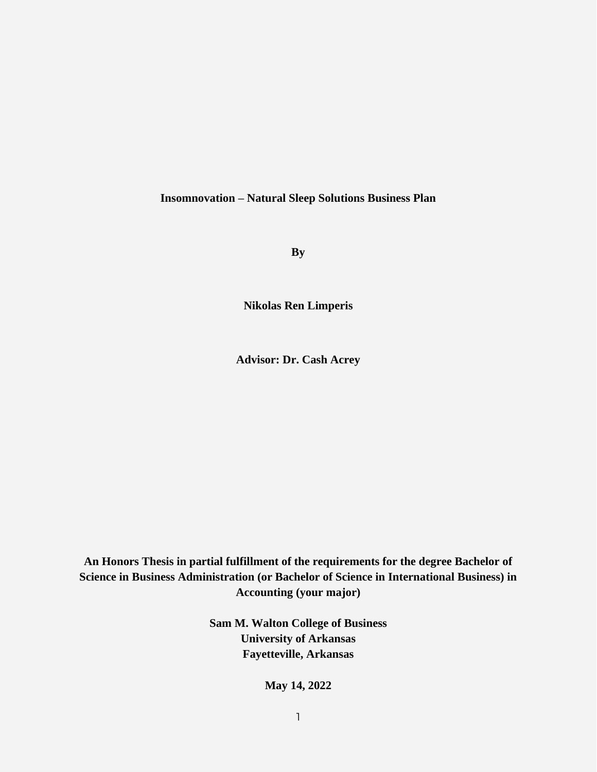## **Insomnovation – Natural Sleep Solutions Business Plan**

**By**

**Nikolas Ren Limperis**

**Advisor: Dr. Cash Acrey**

**An Honors Thesis in partial fulfillment of the requirements for the degree Bachelor of Science in Business Administration (or Bachelor of Science in International Business) in Accounting (your major)**

> **Sam M. Walton College of Business University of Arkansas Fayetteville, Arkansas**

> > **May 14, 2022**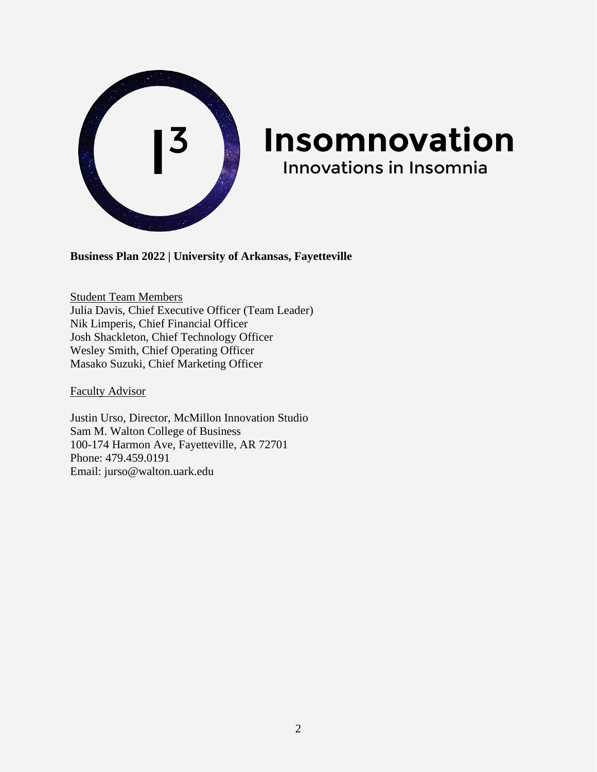

# Insomnovation **Innovations in Insomnia**

**Business Plan 2022 | University of Arkansas, Fayetteville**

Student Team Members Julia Davis, Chief Executive Officer (Team Leader) Nik Limperis, Chief Financial Officer Josh Shackleton, Chief Technology Officer Wesley Smith, Chief Operating Officer Masako Suzuki, Chief Marketing Officer

Faculty Advisor

Justin Urso, Director, McMillon Innovation Studio Sam M. Walton College of Business 100-174 Harmon Ave, Fayetteville, AR 72701 Phone: 479.459.0191 Email: jurso@walton.uark.edu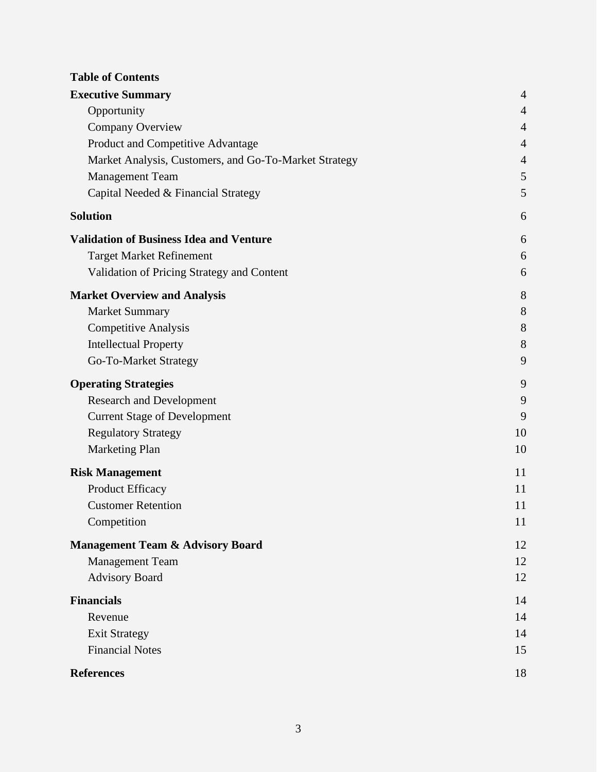# **Table of Contents**

| <b>Executive Summary</b>                              | $\overline{4}$ |
|-------------------------------------------------------|----------------|
| Opportunity                                           | $\overline{4}$ |
| <b>Company Overview</b>                               | $\overline{4}$ |
| Product and Competitive Advantage                     | $\overline{4}$ |
| Market Analysis, Customers, and Go-To-Market Strategy | $\overline{4}$ |
| <b>Management Team</b>                                | 5              |
| Capital Needed & Financial Strategy                   | 5              |
| <b>Solution</b>                                       | 6              |
| <b>Validation of Business Idea and Venture</b>        | 6              |
| <b>Target Market Refinement</b>                       | 6              |
| Validation of Pricing Strategy and Content            | 6              |
| <b>Market Overview and Analysis</b>                   | 8              |
| <b>Market Summary</b>                                 | 8              |
| <b>Competitive Analysis</b>                           | 8              |
| <b>Intellectual Property</b>                          | 8              |
| Go-To-Market Strategy                                 | 9              |
| <b>Operating Strategies</b>                           | 9              |
| <b>Research and Development</b>                       | 9              |
| <b>Current Stage of Development</b>                   | 9              |
| <b>Regulatory Strategy</b>                            | 10             |
| <b>Marketing Plan</b>                                 | 10             |
| <b>Risk Management</b>                                | 11             |
| Product Efficacy                                      | 11             |
| <b>Customer Retention</b>                             | 11             |
| Competition                                           | 11             |
| <b>Management Team &amp; Advisory Board</b>           | 12             |
| <b>Management Team</b>                                | 12             |
| <b>Advisory Board</b>                                 | 12             |
| <b>Financials</b>                                     | 14             |
| Revenue                                               | 14             |
| <b>Exit Strategy</b>                                  | 14             |
| <b>Financial Notes</b>                                | 15             |
| <b>References</b>                                     | 18             |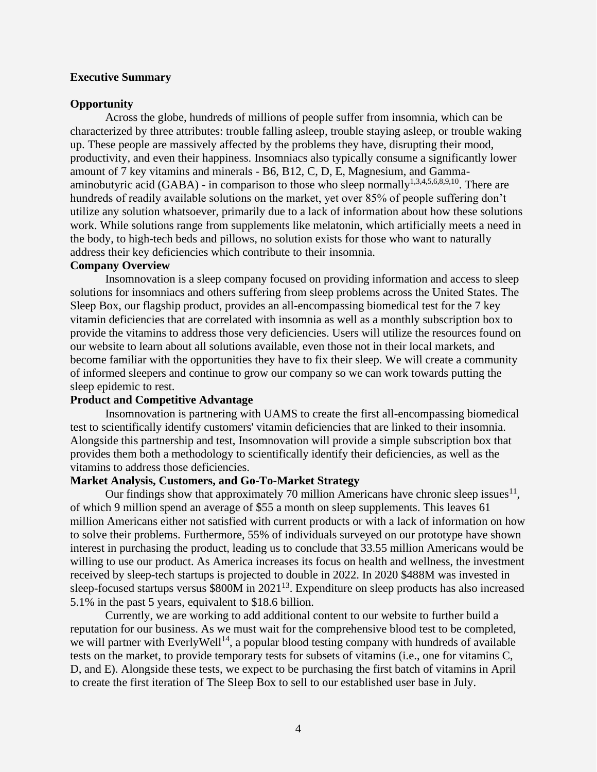#### <span id="page-4-0"></span>**Executive Summary**

#### <span id="page-4-1"></span>**Opportunity**

Across the globe, hundreds of millions of people suffer from insomnia, which can be characterized by three attributes: trouble falling asleep, trouble staying asleep, or trouble waking up. These people are massively affected by the problems they have, disrupting their mood, productivity, and even their happiness. Insomniacs also typically consume a significantly lower amount of 7 key vitamins and minerals - B6, B12, C, D, E, Magnesium, and Gammaaminobutyric acid (GABA) - in comparison to those who sleep normally<sup>1,3,4,5,6,8,9,10</sup>. There are hundreds of readily available solutions on the market, yet over 85% of people suffering don't utilize any solution whatsoever, primarily due to a lack of information about how these solutions work. While solutions range from supplements like melatonin, which artificially meets a need in the body, to high-tech beds and pillows, no solution exists for those who want to naturally address their key deficiencies which contribute to their insomnia.

#### <span id="page-4-2"></span>**Company Overview**

Insomnovation is a sleep company focused on providing information and access to sleep solutions for insomniacs and others suffering from sleep problems across the United States. The Sleep Box, our flagship product, provides an all-encompassing biomedical test for the 7 key vitamin deficiencies that are correlated with insomnia as well as a monthly subscription box to provide the vitamins to address those very deficiencies. Users will utilize the resources found on our website to learn about all solutions available, even those not in their local markets, and become familiar with the opportunities they have to fix their sleep. We will create a community of informed sleepers and continue to grow our company so we can work towards putting the sleep epidemic to rest.

#### <span id="page-4-3"></span>**Product and Competitive Advantage**

Insomnovation is partnering with UAMS to create the first all-encompassing biomedical test to scientifically identify customers' vitamin deficiencies that are linked to their insomnia. Alongside this partnership and test, Insomnovation will provide a simple subscription box that provides them both a methodology to scientifically identify their deficiencies, as well as the vitamins to address those deficiencies.

#### <span id="page-4-4"></span>**Market Analysis, Customers, and Go-To-Market Strategy**

Our findings show that approximately 70 million Americans have chronic sleep issues $^{11}$ , of which 9 million spend an average of \$55 a month on sleep supplements. This leaves 61 million Americans either not satisfied with current products or with a lack of information on how to solve their problems. Furthermore, 55% of individuals surveyed on our prototype have shown interest in purchasing the product, leading us to conclude that 33.55 million Americans would be willing to use our product. As America increases its focus on health and wellness, the investment received by sleep-tech startups is projected to double in 2022. In 2020 \$488M was invested in sleep-focused startups versus \$800M in 2021<sup>13</sup>. Expenditure on sleep products has also increased 5.1% in the past 5 years, equivalent to \$18.6 billion.

Currently, we are working to add additional content to our website to further build a reputation for our business. As we must wait for the comprehensive blood test to be completed, we will partner with EverlyWell<sup>14</sup>, a popular blood testing company with hundreds of available tests on the market, to provide temporary tests for subsets of vitamins (i.e., one for vitamins C, D, and E). Alongside these tests, we expect to be purchasing the first batch of vitamins in April to create the first iteration of The Sleep Box to sell to our established user base in July.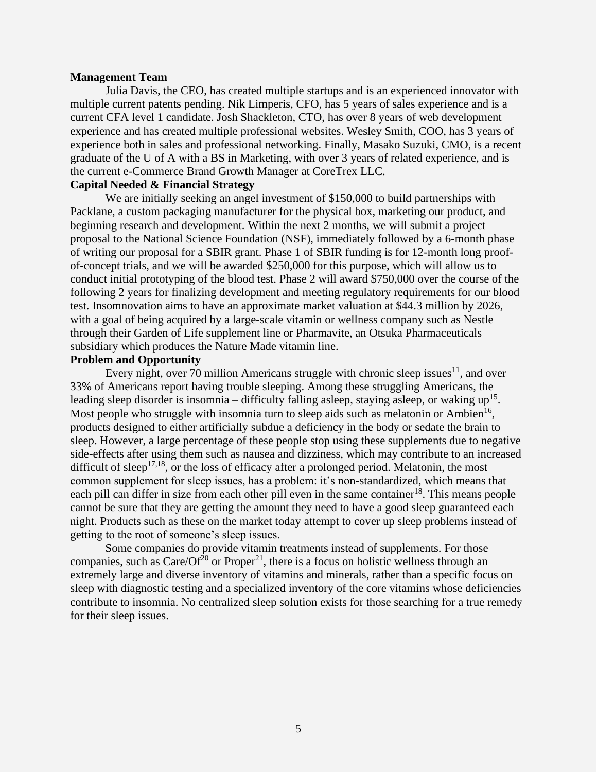#### <span id="page-5-0"></span>**Management Team**

Julia Davis, the CEO, has created multiple startups and is an experienced innovator with multiple current patents pending. Nik Limperis, CFO, has 5 years of sales experience and is a current CFA level 1 candidate. Josh Shackleton, CTO, has over 8 years of web development experience and has created multiple professional websites. Wesley Smith, COO, has 3 years of experience both in sales and professional networking. Finally, Masako Suzuki, CMO, is a recent graduate of the U of A with a BS in Marketing, with over 3 years of related experience, and is the current e-Commerce Brand Growth Manager at CoreTrex LLC.

#### <span id="page-5-1"></span>**Capital Needed & Financial Strategy**

We are initially seeking an angel investment of \$150,000 to build partnerships with Packlane, a custom packaging manufacturer for the physical box, marketing our product, and beginning research and development. Within the next 2 months, we will submit a project proposal to the National Science Foundation (NSF), immediately followed by a 6-month phase of writing our proposal for a SBIR grant. Phase 1 of SBIR funding is for 12-month long proofof-concept trials, and we will be awarded \$250,000 for this purpose, which will allow us to conduct initial prototyping of the blood test. Phase 2 will award \$750,000 over the course of the following 2 years for finalizing development and meeting regulatory requirements for our blood test. Insomnovation aims to have an approximate market valuation at \$44.3 million by 2026, with a goal of being acquired by a large-scale vitamin or wellness company such as Nestle through their Garden of Life supplement line or Pharmavite, an Otsuka Pharmaceuticals subsidiary which produces the Nature Made vitamin line.

## **Problem and Opportunity**

Every night, over 70 million Americans struggle with chronic sleep issues<sup>11</sup>, and over 33% of Americans report having trouble sleeping. Among these struggling Americans, the leading sleep disorder is insomnia – difficulty falling asleep, staying asleep, or waking  $up^{15}$ . Most people who struggle with insomnia turn to sleep aids such as melatonin or Ambien<sup>16</sup>, products designed to either artificially subdue a deficiency in the body or sedate the brain to sleep. However, a large percentage of these people stop using these supplements due to negative side-effects after using them such as nausea and dizziness, which may contribute to an increased difficult of sleep<sup>17,18</sup>, or the loss of efficacy after a prolonged period. Melatonin, the most common supplement for sleep issues, has a problem: it's non-standardized, which means that each pill can differ in size from each other pill even in the same container<sup>18</sup>. This means people cannot be sure that they are getting the amount they need to have a good sleep guaranteed each night. Products such as these on the market today attempt to cover up sleep problems instead of getting to the root of someone's sleep issues.

Some companies do provide vitamin treatments instead of supplements. For those companies, such as  $Care/Of^{20}$  or  $Proper<sup>21</sup>$ , there is a focus on holistic wellness through an extremely large and diverse inventory of vitamins and minerals, rather than a specific focus on sleep with diagnostic testing and a specialized inventory of the core vitamins whose deficiencies contribute to insomnia. No centralized sleep solution exists for those searching for a true remedy for their sleep issues.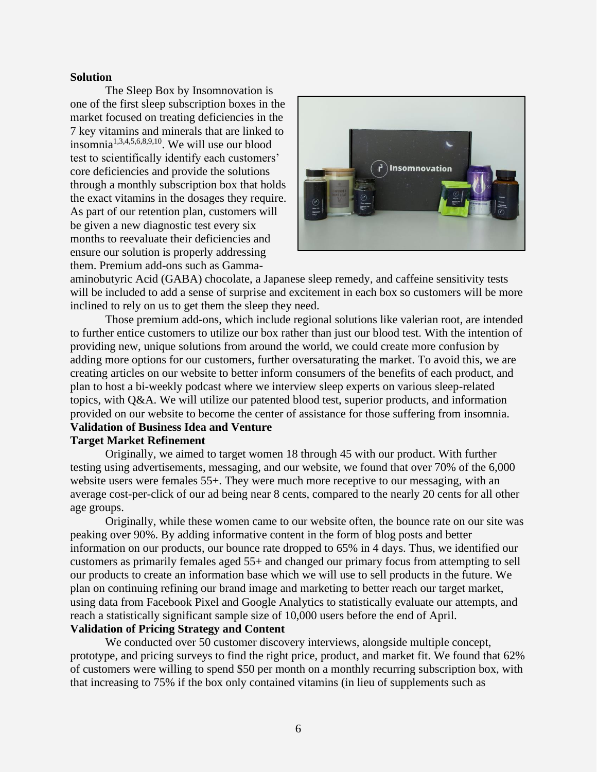#### **Solution**

<span id="page-6-0"></span>The Sleep Box by Insomnovation is one of the first sleep subscription boxes in the market focused on treating deficiencies in the 7 key vitamins and minerals that are linked to insomnia1,3,4,5,6,8,9,10. We will use our blood test to scientifically identify each customers' core deficiencies and provide the solutions through a monthly subscription box that holds the exact vitamins in the dosages they require. As part of our retention plan, customers will be given a new diagnostic test every six months to reevaluate their deficiencies and ensure our solution is properly addressing them. Premium add-ons such as Gamma-



aminobutyric Acid (GABA) chocolate, a Japanese sleep remedy, and caffeine sensitivity tests will be included to add a sense of surprise and excitement in each box so customers will be more inclined to rely on us to get them the sleep they need.

Those premium add-ons, which include regional solutions like valerian root, are intended to further entice customers to utilize our box rather than just our blood test. With the intention of providing new, unique solutions from around the world, we could create more confusion by adding more options for our customers, further oversaturating the market. To avoid this, we are creating articles on our website to better inform consumers of the benefits of each product, and plan to host a bi-weekly podcast where we interview sleep experts on various sleep-related topics, with Q&A. We will utilize our patented blood test, superior products, and information provided on our website to become the center of assistance for those suffering from insomnia. **Validation of Business Idea and Venture**

# <span id="page-6-2"></span><span id="page-6-1"></span>**Target Market Refinement**

Originally, we aimed to target women 18 through 45 with our product. With further testing using advertisements, messaging, and our website, we found that over 70% of the 6,000 website users were females 55+. They were much more receptive to our messaging, with an average cost-per-click of our ad being near 8 cents, compared to the nearly 20 cents for all other age groups.

Originally, while these women came to our website often, the bounce rate on our site was peaking over 90%. By adding informative content in the form of blog posts and better information on our products, our bounce rate dropped to 65% in 4 days. Thus, we identified our customers as primarily females aged 55+ and changed our primary focus from attempting to sell our products to create an information base which we will use to sell products in the future. We plan on continuing refining our brand image and marketing to better reach our target market, using data from Facebook Pixel and Google Analytics to statistically evaluate our attempts, and reach a statistically significant sample size of 10,000 users before the end of April.

# <span id="page-6-3"></span>**Validation of Pricing Strategy and Content**

We conducted over 50 customer discovery interviews, alongside multiple concept, prototype, and pricing surveys to find the right price, product, and market fit. We found that 62% of customers were willing to spend \$50 per month on a monthly recurring subscription box, with that increasing to 75% if the box only contained vitamins (in lieu of supplements such as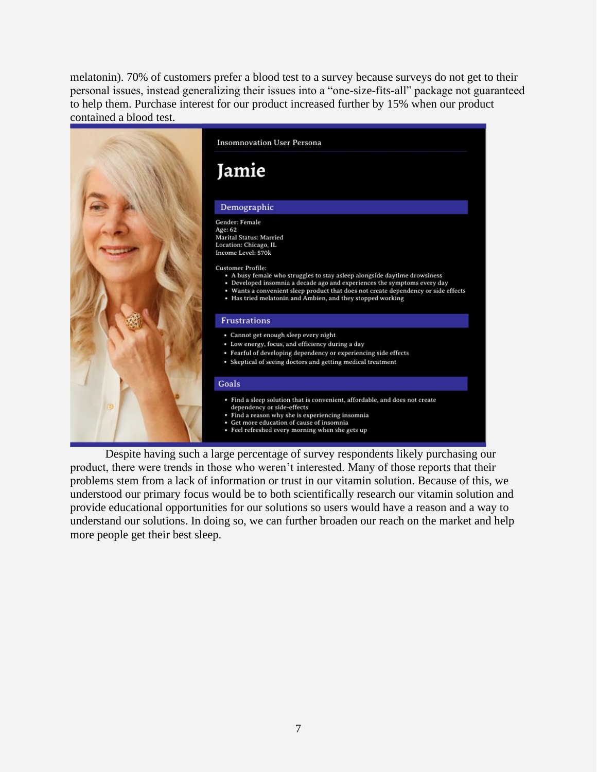melatonin). 70% of customers prefer a blood test to a survey because surveys do not get to their personal issues, instead generalizing their issues into a "one-size-fits-all" package not guaranteed to help them. Purchase interest for our product increased further by 15% when our product contained a blood test.



Despite having such a large percentage of survey respondents likely purchasing our product, there were trends in those who weren't interested. Many of those reports that their problems stem from a lack of information or trust in our vitamin solution. Because of this, we understood our primary focus would be to both scientifically research our vitamin solution and provide educational opportunities for our solutions so users would have a reason and a way to understand our solutions. In doing so, we can further broaden our reach on the market and help more people get their best sleep.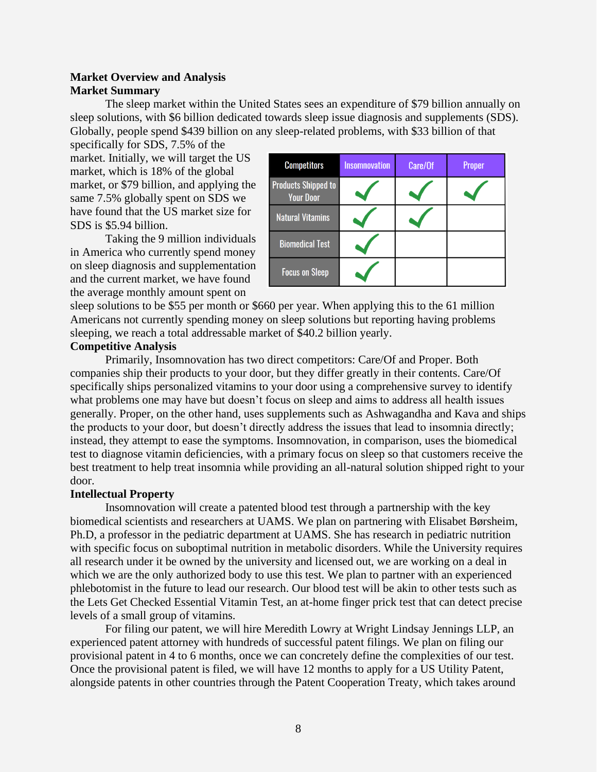# <span id="page-8-0"></span>**Market Overview and Analysis Market Summary**

The sleep market within the United States sees an expenditure of \$79 billion annually on sleep solutions, with \$6 billion dedicated towards sleep issue diagnosis and supplements (SDS). Globally, people spend \$439 billion on any sleep-related problems, with \$33 billion of that

specifically for SDS, 7.5% of the market. Initially, we will target the US market, which is 18% of the global market, or \$79 billion, and applying the same 7.5% globally spent on SDS we have found that the US market size for SDS is \$5.94 billion.

Taking the 9 million individuals in America who currently spend money on sleep diagnosis and supplementation and the current market, we have found the average monthly amount spent on



sleep solutions to be \$55 per month or \$660 per year. When applying this to the 61 million Americans not currently spending money on sleep solutions but reporting having problems sleeping, we reach a total addressable market of \$40.2 billion yearly.

#### <span id="page-8-1"></span>**Competitive Analysis**

Primarily, Insomnovation has two direct competitors: Care/Of and Proper. Both companies ship their products to your door, but they differ greatly in their contents. Care/Of specifically ships personalized vitamins to your door using a comprehensive survey to identify what problems one may have but doesn't focus on sleep and aims to address all health issues generally. Proper, on the other hand, uses supplements such as Ashwagandha and Kava and ships the products to your door, but doesn't directly address the issues that lead to insomnia directly; instead, they attempt to ease the symptoms. Insomnovation, in comparison, uses the biomedical test to diagnose vitamin deficiencies, with a primary focus on sleep so that customers receive the best treatment to help treat insomnia while providing an all-natural solution shipped right to your door.

#### <span id="page-8-2"></span>**Intellectual Property**

Insomnovation will create a patented blood test through a partnership with the key biomedical scientists and researchers at UAMS. We plan on partnering with Elisabet Børsheim, Ph.D, a professor in the pediatric department at UAMS. She has research in pediatric nutrition with specific focus on suboptimal nutrition in metabolic disorders. While the University requires all research under it be owned by the university and licensed out, we are working on a deal in which we are the only authorized body to use this test. We plan to partner with an experienced phlebotomist in the future to lead our research. Our blood test will be akin to other tests such as the Lets Get Checked Essential Vitamin Test, an at-home finger prick test that can detect precise levels of a small group of vitamins.

For filing our patent, we will hire Meredith Lowry at Wright Lindsay Jennings LLP, an experienced patent attorney with hundreds of successful patent filings. We plan on filing our provisional patent in 4 to 6 months, once we can concretely define the complexities of our test. Once the provisional patent is filed, we will have 12 months to apply for a US Utility Patent, alongside patents in other countries through the Patent Cooperation Treaty, which takes around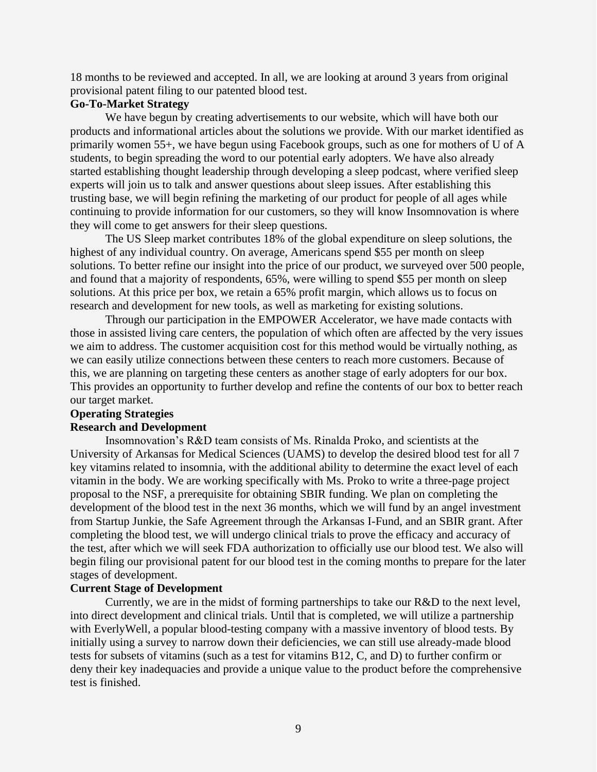18 months to be reviewed and accepted. In all, we are looking at around 3 years from original provisional patent filing to our patented blood test.

#### <span id="page-9-0"></span>**Go-To-Market Strategy**

We have begun by creating advertisements to our website, which will have both our products and informational articles about the solutions we provide. With our market identified as primarily women 55+, we have begun using Facebook groups, such as one for mothers of U of A students, to begin spreading the word to our potential early adopters. We have also already started establishing thought leadership through developing a sleep podcast, where verified sleep experts will join us to talk and answer questions about sleep issues. After establishing this trusting base, we will begin refining the marketing of our product for people of all ages while continuing to provide information for our customers, so they will know Insomnovation is where they will come to get answers for their sleep questions.

The US Sleep market contributes 18% of the global expenditure on sleep solutions, the highest of any individual country. On average, Americans spend \$55 per month on sleep solutions. To better refine our insight into the price of our product, we surveyed over 500 people, and found that a majority of respondents, 65%, were willing to spend \$55 per month on sleep solutions. At this price per box, we retain a 65% profit margin, which allows us to focus on research and development for new tools, as well as marketing for existing solutions.

Through our participation in the EMPOWER Accelerator, we have made contacts with those in assisted living care centers, the population of which often are affected by the very issues we aim to address. The customer acquisition cost for this method would be virtually nothing, as we can easily utilize connections between these centers to reach more customers. Because of this, we are planning on targeting these centers as another stage of early adopters for our box. This provides an opportunity to further develop and refine the contents of our box to better reach our target market.

#### <span id="page-9-1"></span>**Operating Strategies**

#### <span id="page-9-2"></span>**Research and Development**

Insomnovation's R&D team consists of Ms. Rinalda Proko, and scientists at the University of Arkansas for Medical Sciences (UAMS) to develop the desired blood test for all 7 key vitamins related to insomnia, with the additional ability to determine the exact level of each vitamin in the body. We are working specifically with Ms. Proko to write a three-page project proposal to the NSF, a prerequisite for obtaining SBIR funding. We plan on completing the development of the blood test in the next 36 months, which we will fund by an angel investment from Startup Junkie, the Safe Agreement through the Arkansas I-Fund, and an SBIR grant. After completing the blood test, we will undergo clinical trials to prove the efficacy and accuracy of the test, after which we will seek FDA authorization to officially use our blood test. We also will begin filing our provisional patent for our blood test in the coming months to prepare for the later stages of development.

#### <span id="page-9-3"></span>**Current Stage of Development**

Currently, we are in the midst of forming partnerships to take our R&D to the next level, into direct development and clinical trials. Until that is completed, we will utilize a partnership with EverlyWell, a popular blood-testing company with a massive inventory of blood tests. By initially using a survey to narrow down their deficiencies, we can still use already-made blood tests for subsets of vitamins (such as a test for vitamins B12, C, and D) to further confirm or deny their key inadequacies and provide a unique value to the product before the comprehensive test is finished.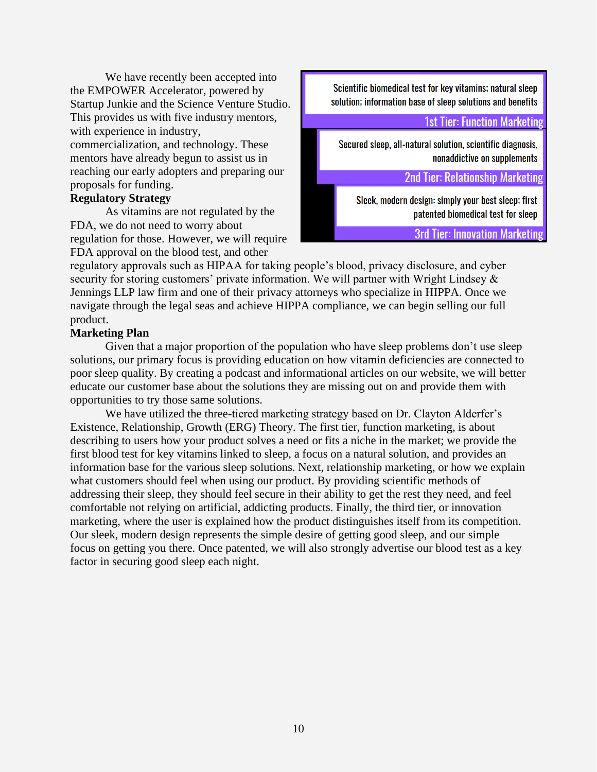We have recently been accepted into the EMPOWER Accelerator, powered by Startup Junkie and the Science Venture Studio. This provides us with five industry mentors, with experience in industry, commercialization, and technology. These mentors have already begun to assist us in reaching our early adopters and preparing our proposals for funding.

# <span id="page-10-0"></span>**Regulatory Strategy**

As vitamins are not regulated by the FDA, we do not need to worry about regulation for those. However, we will require FDA approval on the blood test, and other

Scientific biomedical test for key vitamins; natural sleep solution; information base of sleep solutions and benefits

**1st Tier: Function Marketing** 

Secured sleep, all-natural solution, scientific diagnosis, nonaddictive on supplements

**2nd Tier: Relationship Marketing** 

Sleek, modern design: simply your best sleep; first patented biomedical test for sleep

**3rd Tier: Innovation Marketing** 

regulatory approvals such as HIPAA for taking people's blood, privacy disclosure, and cyber security for storing customers' private information. We will partner with Wright Lindsey & Jennings LLP law firm and one of their privacy attorneys who specialize in HIPPA. Once we navigate through the legal seas and achieve HIPPA compliance, we can begin selling our full product.

# <span id="page-10-1"></span>**Marketing Plan**

Given that a major proportion of the population who have sleep problems don't use sleep solutions, our primary focus is providing education on how vitamin deficiencies are connected to poor sleep quality. By creating a podcast and informational articles on our website, we will better educate our customer base about the solutions they are missing out on and provide them with opportunities to try those same solutions.

We have utilized the three-tiered marketing strategy based on Dr. Clayton Alderfer's Existence, Relationship, Growth (ERG) Theory. The first tier, function marketing, is about describing to users how your product solves a need or fits a niche in the market; we provide the first blood test for key vitamins linked to sleep, a focus on a natural solution, and provides an information base for the various sleep solutions. Next, relationship marketing, or how we explain what customers should feel when using our product. By providing scientific methods of addressing their sleep, they should feel secure in their ability to get the rest they need, and feel comfortable not relying on artificial, addicting products. Finally, the third tier, or innovation marketing, where the user is explained how the product distinguishes itself from its competition. Our sleek, modern design represents the simple desire of getting good sleep, and our simple focus on getting you there. Once patented, we will also strongly advertise our blood test as a key factor in securing good sleep each night.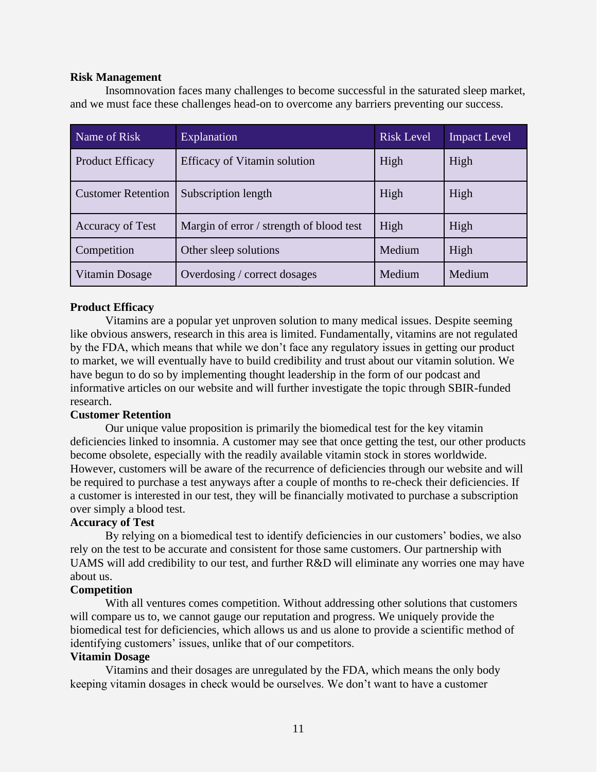#### <span id="page-11-0"></span>**Risk Management**

Insomnovation faces many challenges to become successful in the saturated sleep market, and we must face these challenges head-on to overcome any barriers preventing our success.

| Name of Risk              | <b>Explanation</b>                       | <b>Risk Level</b> | <b>Impact Level</b> |
|---------------------------|------------------------------------------|-------------------|---------------------|
| <b>Product Efficacy</b>   | <b>Efficacy of Vitamin solution</b>      | High              | High                |
| <b>Customer Retention</b> | Subscription length                      | High              | High                |
| <b>Accuracy of Test</b>   | Margin of error / strength of blood test | High              | High                |
| Competition               | Other sleep solutions                    | Medium            | High                |
| Vitamin Dosage            | Overdosing / correct dosages             | Medium            | Medium              |

# <span id="page-11-1"></span>**Product Efficacy**

Vitamins are a popular yet unproven solution to many medical issues. Despite seeming like obvious answers, research in this area is limited. Fundamentally, vitamins are not regulated by the FDA, which means that while we don't face any regulatory issues in getting our product to market, we will eventually have to build credibility and trust about our vitamin solution. We have begun to do so by implementing thought leadership in the form of our podcast and informative articles on our website and will further investigate the topic through SBIR-funded research.

# <span id="page-11-2"></span>**Customer Retention**

Our unique value proposition is primarily the biomedical test for the key vitamin deficiencies linked to insomnia. A customer may see that once getting the test, our other products become obsolete, especially with the readily available vitamin stock in stores worldwide. However, customers will be aware of the recurrence of deficiencies through our website and will be required to purchase a test anyways after a couple of months to re-check their deficiencies. If a customer is interested in our test, they will be financially motivated to purchase a subscription over simply a blood test.

# **Accuracy of Test**

By relying on a biomedical test to identify deficiencies in our customers' bodies, we also rely on the test to be accurate and consistent for those same customers. Our partnership with UAMS will add credibility to our test, and further R&D will eliminate any worries one may have about us.

# <span id="page-11-3"></span>**Competition**

With all ventures comes competition. Without addressing other solutions that customers will compare us to, we cannot gauge our reputation and progress. We uniquely provide the biomedical test for deficiencies, which allows us and us alone to provide a scientific method of identifying customers' issues, unlike that of our competitors.

# **Vitamin Dosage**

Vitamins and their dosages are unregulated by the FDA, which means the only body keeping vitamin dosages in check would be ourselves. We don't want to have a customer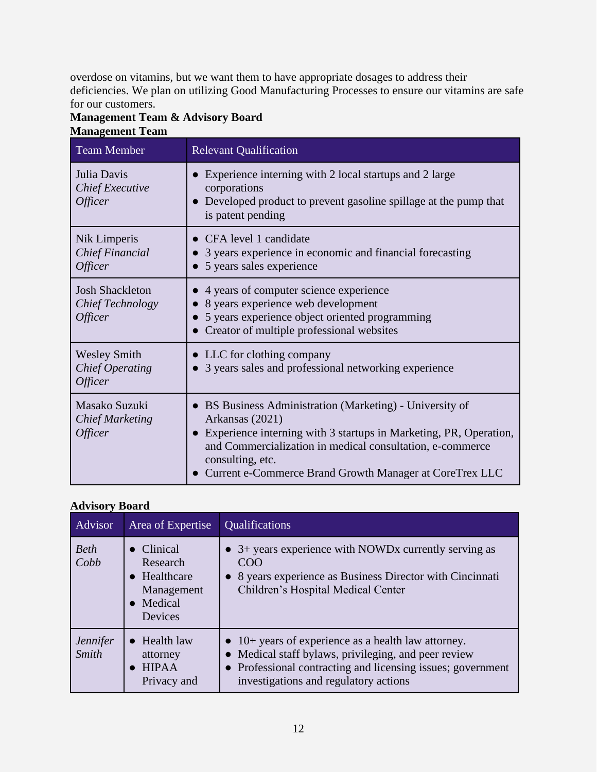overdose on vitamins, but we want them to have appropriate dosages to address their deficiencies. We plan on utilizing Good Manufacturing Processes to ensure our vitamins are safe for our customers.

# <span id="page-12-0"></span>**Management Team & Advisory Board Management Team**

<span id="page-12-1"></span>

| <b>Team Member</b>                                                     | <b>Relevant Qualification</b>                                                                                                                                                                                                                                                                  |
|------------------------------------------------------------------------|------------------------------------------------------------------------------------------------------------------------------------------------------------------------------------------------------------------------------------------------------------------------------------------------|
| Julia Davis<br><b>Chief Executive</b><br><i><b>Officer</b></i>         | Experience interning with 2 local startups and 2 large<br>corporations<br>• Developed product to prevent gasoline spillage at the pump that<br>is patent pending                                                                                                                               |
| Nik Limperis<br><b>Chief Financial</b><br><i><b>Officer</b></i>        | • CFA level 1 candidate<br>• 3 years experience in economic and financial forecasting<br>5 years sales experience                                                                                                                                                                              |
| <b>Josh Shackleton</b><br>Chief Technology<br><i><b>Officer</b></i>    | • 4 years of computer science experience<br>8 years experience web development<br>5 years experience object oriented programming<br>Creator of multiple professional websites                                                                                                                  |
| <b>Wesley Smith</b><br><b>Chief Operating</b><br><i><b>Officer</b></i> | • LLC for clothing company<br>3 years sales and professional networking experience                                                                                                                                                                                                             |
| Masako Suzuki<br><b>Chief Marketing</b><br><i><b>Officer</b></i>       | • BS Business Administration (Marketing) - University of<br>Arkansas (2021)<br>• Experience interning with 3 startups in Marketing, PR, Operation,<br>and Commercialization in medical consultation, e-commerce<br>consulting, etc.<br>Current e-Commerce Brand Growth Manager at CoreTrex LLC |

# <span id="page-12-2"></span>**Advisory Board**

| Advisor                         | Area of Expertise                                                                    | <b>Qualifications</b>                                                                                                                                                                                                       |  |  |  |  |  |  |  |  |
|---------------------------------|--------------------------------------------------------------------------------------|-----------------------------------------------------------------------------------------------------------------------------------------------------------------------------------------------------------------------------|--|--|--|--|--|--|--|--|
| <b>Beth</b><br>Cobb             | $\bullet$ Clinical<br>Research<br>• Healthcare<br>Management<br>• Medical<br>Devices | $\bullet$ 3+ years experience with NOWDx currently serving as<br><b>COO</b><br>• 8 years experience as Business Director with Cincinnati<br>Children's Hospital Medical Center                                              |  |  |  |  |  |  |  |  |
| <i>Jennifer</i><br><b>Smith</b> | $\bullet$ Health law<br>attorney<br>$\bullet$ HIPAA<br>Privacy and                   | $\bullet$ 10+ years of experience as a health law attorney.<br>• Medical staff bylaws, privileging, and peer review<br>• Professional contracting and licensing issues; government<br>investigations and regulatory actions |  |  |  |  |  |  |  |  |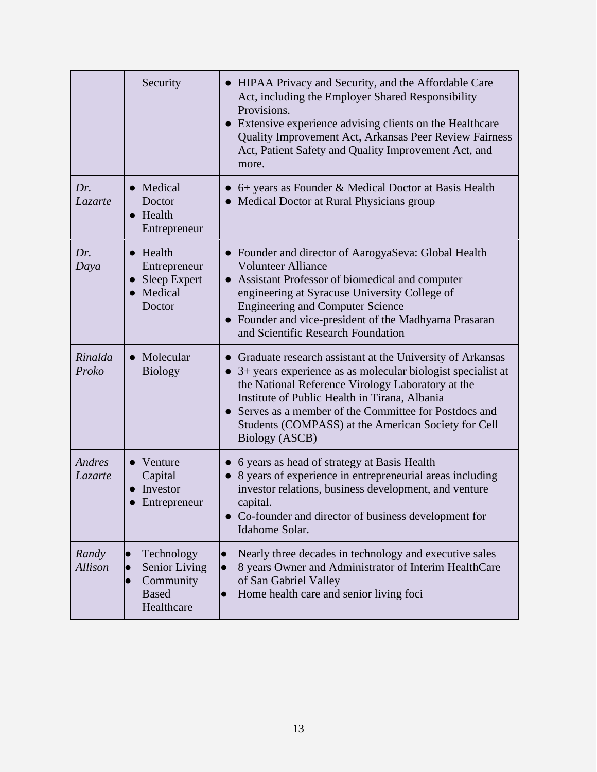|                          | Security                                                                                         | • HIPAA Privacy and Security, and the Affordable Care<br>Act, including the Employer Shared Responsibility<br>Provisions.<br>• Extensive experience advising clients on the Healthcare<br>Quality Improvement Act, Arkansas Peer Review Fairness<br>Act, Patient Safety and Quality Improvement Act, and<br>more.                                                                           |
|--------------------------|--------------------------------------------------------------------------------------------------|---------------------------------------------------------------------------------------------------------------------------------------------------------------------------------------------------------------------------------------------------------------------------------------------------------------------------------------------------------------------------------------------|
| Dr.<br>Lazarte           | • Medical<br>Doctor<br>$\bullet$ Health<br>Entrepreneur                                          | • 6+ years as Founder & Medical Doctor at Basis Health<br>• Medical Doctor at Rural Physicians group                                                                                                                                                                                                                                                                                        |
| Dr.<br>Daya              | $\bullet$ Health<br>Entrepreneur<br>• Sleep Expert<br>• Medical<br>Doctor                        | • Founder and director of AarogyaSeva: Global Health<br><b>Volunteer Alliance</b><br>Assistant Professor of biomedical and computer<br>$\bullet$<br>engineering at Syracuse University College of<br><b>Engineering and Computer Science</b><br>• Founder and vice-president of the Madhyama Prasaran<br>and Scientific Research Foundation                                                 |
| Rinalda<br>Proko         | • Molecular<br><b>Biology</b>                                                                    | • Graduate research assistant at the University of Arkansas<br>3+ years experience as as molecular biologist specialist at<br>$\bullet$<br>the National Reference Virology Laboratory at the<br>Institute of Public Health in Tirana, Albania<br>Serves as a member of the Committee for Postdocs and<br>$\bullet$<br>Students (COMPASS) at the American Society for Cell<br>Biology (ASCB) |
| Andres<br><i>Lazarte</i> | $\bullet$ Venture<br>Capital<br>Investor<br>Entrepreneur                                         | • 6 years as head of strategy at Basis Health<br>8 years of experience in entrepreneurial areas including<br>investor relations, business development, and venture<br>capital.<br>Co-founder and director of business development for<br>Idahome Solar.                                                                                                                                     |
| Randy<br>Allison         | Technology<br>$\bullet$<br>Senior Living<br>Community<br>$\bullet$<br><b>Based</b><br>Healthcare | Nearly three decades in technology and executive sales<br>$\bullet$<br>8 years Owner and Administrator of Interim HealthCare<br>$\bullet$<br>of San Gabriel Valley<br>Home health care and senior living foci<br>$\bullet$                                                                                                                                                                  |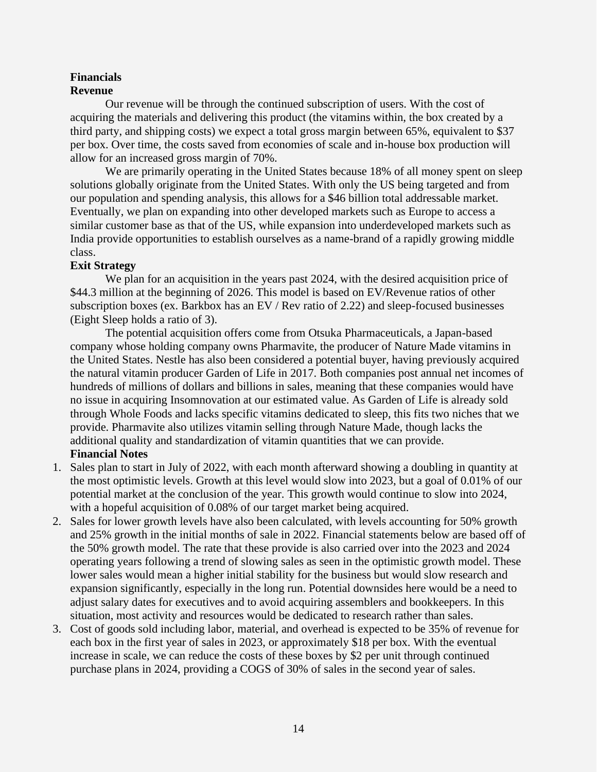#### <span id="page-14-1"></span><span id="page-14-0"></span>**Financials Revenue**

Our revenue will be through the continued subscription of users. With the cost of acquiring the materials and delivering this product (the vitamins within, the box created by a third party, and shipping costs) we expect a total gross margin between 65%, equivalent to \$37 per box. Over time, the costs saved from economies of scale and in-house box production will allow for an increased gross margin of 70%.

We are primarily operating in the United States because 18% of all money spent on sleep solutions globally originate from the United States. With only the US being targeted and from our population and spending analysis, this allows for a \$46 billion total addressable market. Eventually, we plan on expanding into other developed markets such as Europe to access a similar customer base as that of the US, while expansion into underdeveloped markets such as India provide opportunities to establish ourselves as a name-brand of a rapidly growing middle class.

# <span id="page-14-2"></span>**Exit Strategy**

We plan for an acquisition in the years past 2024, with the desired acquisition price of \$44.3 million at the beginning of 2026. This model is based on EV/Revenue ratios of other subscription boxes (ex. Barkbox has an EV / Rev ratio of 2.22) and sleep-focused businesses (Eight Sleep holds a ratio of 3).

The potential acquisition offers come from Otsuka Pharmaceuticals, a Japan-based company whose holding company owns Pharmavite, the producer of Nature Made vitamins in the United States. Nestle has also been considered a potential buyer, having previously acquired the natural vitamin producer Garden of Life in 2017. Both companies post annual net incomes of hundreds of millions of dollars and billions in sales, meaning that these companies would have no issue in acquiring Insomnovation at our estimated value. As Garden of Life is already sold through Whole Foods and lacks specific vitamins dedicated to sleep, this fits two niches that we provide. Pharmavite also utilizes vitamin selling through Nature Made, though lacks the additional quality and standardization of vitamin quantities that we can provide. **Financial Notes**

- <span id="page-14-3"></span>1. Sales plan to start in July of 2022, with each month afterward showing a doubling in quantity at the most optimistic levels. Growth at this level would slow into 2023, but a goal of 0.01% of our potential market at the conclusion of the year. This growth would continue to slow into 2024, with a hopeful acquisition of 0.08% of our target market being acquired.
- 2. Sales for lower growth levels have also been calculated, with levels accounting for 50% growth and 25% growth in the initial months of sale in 2022. Financial statements below are based off of the 50% growth model. The rate that these provide is also carried over into the 2023 and 2024 operating years following a trend of slowing sales as seen in the optimistic growth model. These lower sales would mean a higher initial stability for the business but would slow research and expansion significantly, especially in the long run. Potential downsides here would be a need to adjust salary dates for executives and to avoid acquiring assemblers and bookkeepers. In this situation, most activity and resources would be dedicated to research rather than sales.
- 3. Cost of goods sold including labor, material, and overhead is expected to be 35% of revenue for each box in the first year of sales in 2023, or approximately \$18 per box. With the eventual increase in scale, we can reduce the costs of these boxes by \$2 per unit through continued purchase plans in 2024, providing a COGS of 30% of sales in the second year of sales.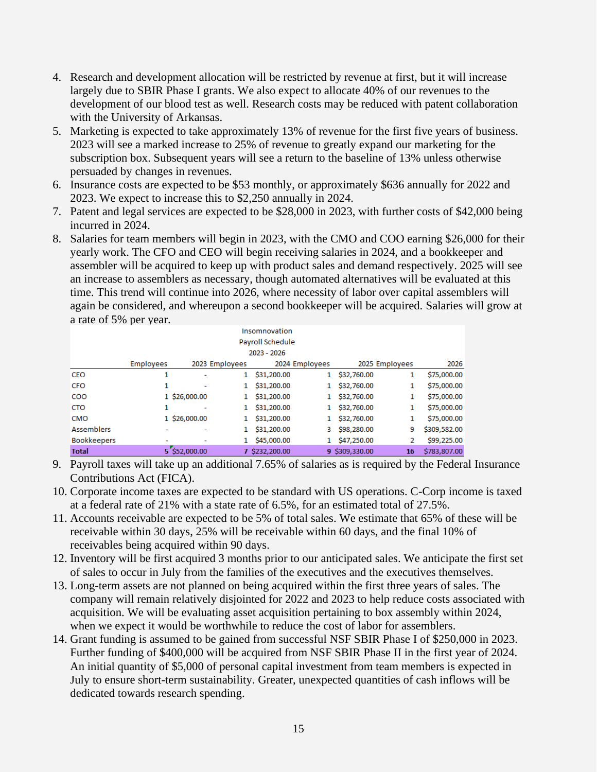- 4. Research and development allocation will be restricted by revenue at first, but it will increase largely due to SBIR Phase I grants. We also expect to allocate 40% of our revenues to the development of our blood test as well. Research costs may be reduced with patent collaboration with the University of Arkansas.
- 5. Marketing is expected to take approximately 13% of revenue for the first five years of business. 2023 will see a marked increase to 25% of revenue to greatly expand our marketing for the subscription box. Subsequent years will see a return to the baseline of 13% unless otherwise persuaded by changes in revenues.
- 6. Insurance costs are expected to be \$53 monthly, or approximately \$636 annually for 2022 and 2023. We expect to increase this to \$2,250 annually in 2024.
- 7. Patent and legal services are expected to be \$28,000 in 2023, with further costs of \$42,000 being incurred in 2024.
- 8. Salaries for team members will begin in 2023, with the CMO and COO earning \$26,000 for their yearly work. The CFO and CEO will begin receiving salaries in 2024, and a bookkeeper and assembler will be acquired to keep up with product sales and demand respectively. 2025 will see an increase to assemblers as necessary, though automated alternatives will be evaluated at this time. This trend will continue into 2026, where necessity of labor over capital assemblers will again be considered, and whereupon a second bookkeeper will be acquired. Salaries will grow at a rate of 5% per year.

|                    | Insomnovation<br>Payroll Schedule                                              |               |  |                |   |                |    |              |  |  |  |  |  |  |  |
|--------------------|--------------------------------------------------------------------------------|---------------|--|----------------|---|----------------|----|--------------|--|--|--|--|--|--|--|
|                    | 2023 - 2026                                                                    |               |  |                |   |                |    |              |  |  |  |  |  |  |  |
|                    | <b>Employees</b><br>2023 Employees<br>2024 Employees<br>2025 Employees<br>2026 |               |  |                |   |                |    |              |  |  |  |  |  |  |  |
| CEO                | 1                                                                              |               |  | \$31,200.00    | 1 | \$32,760.00    | 1  | \$75,000.00  |  |  |  |  |  |  |  |
| <b>CFO</b>         |                                                                                |               |  | \$31,200.00    |   | \$32,760.00    | 1  | \$75,000.00  |  |  |  |  |  |  |  |
| <b>COO</b>         |                                                                                | 1 \$26,000,00 |  | \$31,200,00    |   | \$32,760.00    | 1  | \$75,000.00  |  |  |  |  |  |  |  |
| <b>CTO</b>         |                                                                                |               |  | \$31,200.00    |   | \$32,760.00    | 1  | \$75,000.00  |  |  |  |  |  |  |  |
| <b>CMO</b>         |                                                                                | 1 \$26,000.00 |  | \$31,200.00    |   | \$32,760.00    | 1  | \$75,000.00  |  |  |  |  |  |  |  |
| <b>Assemblers</b>  |                                                                                |               |  | \$31,200.00    | 3 | \$98,280.00    | 9  | \$309,582.00 |  |  |  |  |  |  |  |
| <b>Bookkeepers</b> |                                                                                | ۰             |  | \$45,000.00    |   | \$47,250.00    | 2  | \$99,225.00  |  |  |  |  |  |  |  |
| <b>Total</b>       |                                                                                | 5 \$52,000.00 |  | 7 \$232,200.00 |   | 9 \$309,330.00 | 16 | \$783,807.00 |  |  |  |  |  |  |  |

- 9. Payroll taxes will take up an additional 7.65% of salaries as is required by the Federal Insurance Contributions Act (FICA).
- 10. Corporate income taxes are expected to be standard with US operations. C-Corp income is taxed at a federal rate of 21% with a state rate of 6.5%, for an estimated total of 27.5%.
- 11. Accounts receivable are expected to be 5% of total sales. We estimate that 65% of these will be receivable within 30 days, 25% will be receivable within 60 days, and the final 10% of receivables being acquired within 90 days.
- 12. Inventory will be first acquired 3 months prior to our anticipated sales. We anticipate the first set of sales to occur in July from the families of the executives and the executives themselves.
- 13. Long-term assets are not planned on being acquired within the first three years of sales. The company will remain relatively disjointed for 2022 and 2023 to help reduce costs associated with acquisition. We will be evaluating asset acquisition pertaining to box assembly within 2024, when we expect it would be worthwhile to reduce the cost of labor for assemblers.
- 14. Grant funding is assumed to be gained from successful NSF SBIR Phase I of \$250,000 in 2023. Further funding of \$400,000 will be acquired from NSF SBIR Phase II in the first year of 2024. An initial quantity of \$5,000 of personal capital investment from team members is expected in July to ensure short-term sustainability. Greater, unexpected quantities of cash inflows will be dedicated towards research spending.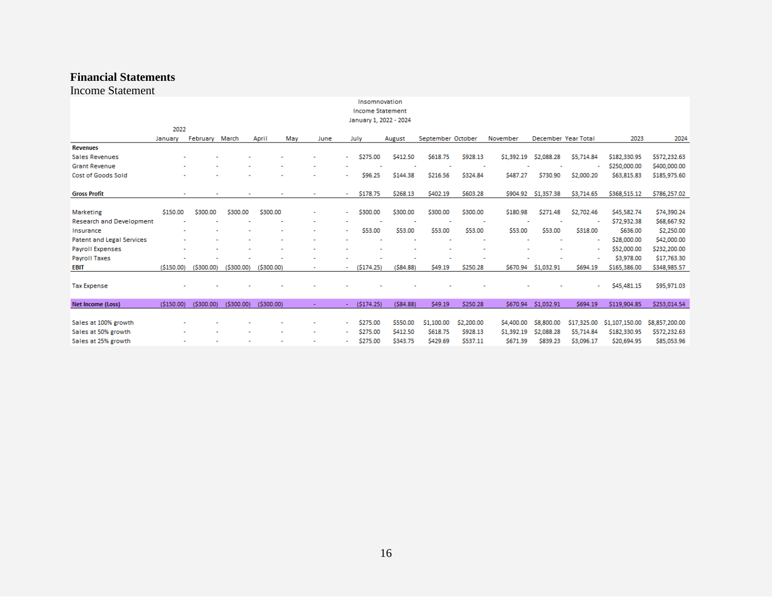# **Financial Statements**

Income Statement

| Insomnovation<br><b>Income Statement</b> |                        |           |           |           |             |   |           |          |                   |            |            |                     |             |                |                |
|------------------------------------------|------------------------|-----------|-----------|-----------|-------------|---|-----------|----------|-------------------|------------|------------|---------------------|-------------|----------------|----------------|
|                                          | January 1, 2022 - 2024 |           |           |           |             |   |           |          |                   |            |            |                     |             |                |                |
|                                          | 2022                   |           |           |           |             |   |           |          |                   |            |            |                     |             |                |                |
|                                          | January                | February  | March     | April     | May<br>June |   | July      | August   | September October |            | November   | December Year Total |             | 2023           | 2024           |
| <b>Revenues</b>                          |                        |           |           |           |             |   |           |          |                   |            |            |                     |             |                |                |
| <b>Sales Revenues</b>                    |                        |           |           |           |             |   | \$275.00  | \$412.50 | \$618.75          | \$928.13   | \$1,392.19 | \$2,088.28          | \$5,714.84  | \$182,330.95   | \$572,232.63   |
| <b>Grant Revenue</b>                     |                        |           |           |           |             |   |           |          |                   |            |            |                     |             | \$250,000.00   | \$400,000.00   |
| <b>Cost of Goods Sold</b>                |                        |           |           |           |             |   | \$96.25   | \$144.38 | \$216.56          | \$324.84   | S487.27    | \$730.90            | \$2,000.20  | \$63,815.83    | \$185,975.60   |
|                                          |                        |           |           |           |             |   |           |          |                   |            |            |                     |             |                |                |
| <b>Gross Profit</b>                      |                        |           |           |           |             | ٠ | \$178.75  | \$268.13 | \$402.19          | \$603.28   | \$904.92   | \$1,357.38          | \$3,714.65  | \$368,515.12   | \$786,257.02   |
|                                          |                        |           |           |           |             |   |           |          |                   |            |            |                     |             |                |                |
| <b>Marketing</b>                         | \$150.00               | \$300.00  | \$300.00  | \$300.00  | ۰           | ÷ | \$300.00  | \$300.00 | \$300.00          | \$300.00   | \$180.98   | \$271.48            | \$2,702.46  | \$45,582.74    | \$74,390.24    |
| <b>Research and Development</b>          |                        |           |           |           |             |   |           |          |                   | ٠          |            |                     |             | \$72,932.38    | \$68,667.92    |
| Insurance                                |                        |           |           |           |             | ۰ | \$53.00   | \$53.00  | \$53.00           | \$53.00    | \$53.00    | \$53.00             | \$318.00    | \$636.00       | \$2,250.00     |
| <b>Patent and Legal Services</b>         |                        |           |           |           |             |   |           |          |                   |            |            |                     |             | \$28,000.00    | \$42,000.00    |
| <b>Payroll Expenses</b>                  |                        |           |           |           |             |   |           |          |                   |            |            |                     |             | \$52,000.00    | \$232,200.00   |
| <b>Payroll Taxes</b>                     |                        |           |           |           |             |   |           |          |                   |            |            |                     |             | \$3,978.00     | \$17,763.30    |
| EBIT                                     | (5150.00)              | (5300.00) | (5300.00) | (5300.00) |             |   | (5174.25) | (584.88) | \$49.19           | \$250.28   | \$670.94   | \$1,032.91          | \$694.19    | \$165,386.00   | \$348,985.57   |
| <b>Tax Expense</b>                       |                        |           |           |           |             |   |           |          |                   |            |            |                     | ۰           | \$45,481.15    | \$95,971.03    |
| <b>Net Income (Loss)</b>                 | (5150.00)              | (5300.00) | (5300.00) | (5300.00) | ٠           | ٠ | (5174.25) | (584.88) | \$49.19           | \$250.28   | \$670.94   | \$1,032.91          | \$694.19    | \$119,904.85   | \$253,014.54   |
|                                          |                        |           |           |           |             |   |           |          |                   |            |            |                     |             |                |                |
| Sales at 100% growth                     |                        |           |           |           |             | ÷ | \$275.00  | \$550.00 | \$1,100.00        | \$2,200.00 | \$4,400.00 | \$8,800.00          | \$17,325.00 | \$1,107,150.00 | \$8,857,200.00 |
| Sales at 50% growth                      |                        |           |           |           |             | ۰ | \$275.00  | \$412.50 | \$618.75          | \$928.13   | \$1,392.19 | \$2,088.28          | \$5,714.84  | \$182,330.95   | \$572,232.63   |
| Sales at 25% growth                      |                        |           |           |           |             |   | \$275.00  | \$343.75 | \$429.69          | \$537.11   | \$671.39   | \$839.23            | \$3,096.17  | \$20,694.95    | \$85,053.96    |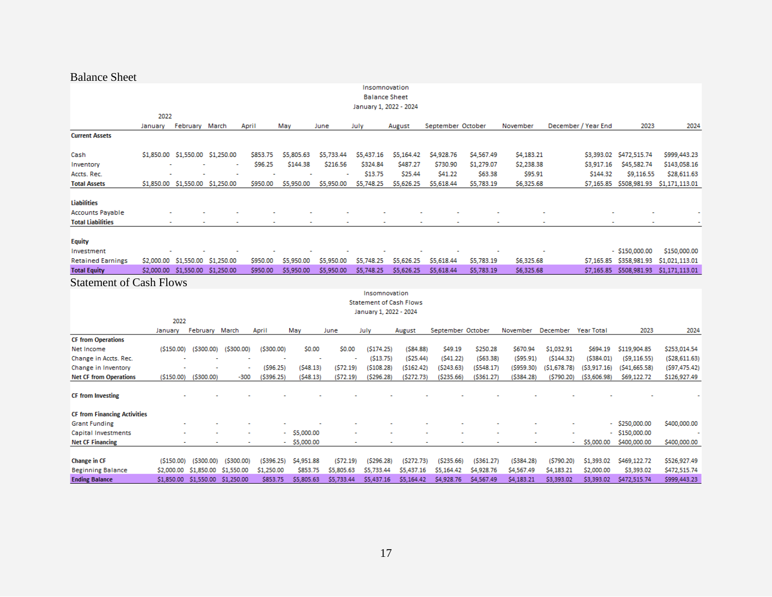# Balance Sheet

| Insomnovation                       |            |                                  |                       |            |            |            |            |                        |                                |                     |                       |                       |              |                        |                  |                                            |
|-------------------------------------|------------|----------------------------------|-----------------------|------------|------------|------------|------------|------------------------|--------------------------------|---------------------|-----------------------|-----------------------|--------------|------------------------|------------------|--------------------------------------------|
|                                     |            |                                  |                       |            |            |            |            | <b>Balance Sheet</b>   |                                |                     |                       |                       |              |                        |                  |                                            |
|                                     |            |                                  |                       |            |            |            |            | January 1, 2022 - 2024 |                                |                     |                       |                       |              |                        |                  |                                            |
|                                     | 2022       |                                  |                       |            |            |            |            |                        |                                |                     |                       |                       |              |                        |                  |                                            |
|                                     | January    | February                         | March                 | April      | May        |            | June       | July                   | August                         | September October   |                       | November              |              | December / Year End    | 2023             | 2024                                       |
| <b>Current Assets</b>               |            |                                  |                       |            |            |            |            |                        |                                |                     |                       |                       |              |                        |                  |                                            |
|                                     |            |                                  |                       |            |            |            |            |                        |                                |                     |                       |                       |              |                        |                  |                                            |
| Cash                                |            | \$1,850.00 \$1,550.00            | \$1,250.00            |            | \$853.75   | \$5,805.63 | \$5,733.44 | \$5,437.16             | \$5,164.42                     | \$4,928.76          | \$4,567.49            | \$4,183.21            |              |                        |                  | \$999,443.23                               |
| Inventory                           |            |                                  |                       |            | \$96.25    | \$144.38   | \$216.56   | \$324.84<br>\$13.75    | \$487.27<br>\$25.44            | \$730.90<br>\$41.22 | \$1,279.07<br>\$63.38 | \$2,238.38<br>\$95.91 |              | \$3,917.16<br>\$144.32 | \$45,582.74      | \$143,058.16                               |
| Accts. Rec.                         |            |                                  |                       |            | \$950.00   | \$5,950.00 | \$5,950.00 | \$5,748.25             | \$5,626.25                     | \$5,618.44          | \$5,783.19            | \$6,325.68            |              | \$7,165.85             | \$9,116.55       | \$28,611.63<br>\$508,981.93 \$1,171,113.01 |
| <b>Total Assets</b>                 |            | \$1,850.00 \$1,550.00 \$1,250.00 |                       |            |            |            |            |                        |                                |                     |                       |                       |              |                        |                  |                                            |
| <b>Liabilities</b>                  |            |                                  |                       |            |            |            |            |                        |                                |                     |                       |                       |              |                        |                  |                                            |
| <b>Accounts Payable</b>             |            |                                  |                       |            |            |            |            |                        |                                |                     |                       |                       |              |                        |                  |                                            |
| <b>Total Liabilities</b>            |            |                                  |                       |            |            |            |            |                        |                                |                     |                       |                       |              |                        |                  |                                            |
|                                     |            |                                  |                       |            |            |            |            |                        |                                |                     |                       |                       |              |                        |                  |                                            |
| <b>Equity</b>                       |            |                                  |                       |            |            |            |            |                        |                                |                     |                       |                       |              |                        |                  |                                            |
| Investment                          |            |                                  |                       |            |            |            |            |                        |                                |                     |                       |                       |              |                        | $-$ \$150,000.00 | \$150,000.00                               |
| <b>Retained Earnings</b>            |            | \$2,000.00 \$1,550.00 \$1,250.00 |                       |            | \$950.00   | \$5,950.00 | \$5,950.00 | \$5,748.25             | \$5,626.25                     | \$5,618.44          | \$5,783.19            | \$6,325.68            |              | \$7,165.85             | \$358,981.93     | \$1,021,113.01                             |
| <b>Total Equity</b>                 |            | \$2,000.00 \$1,550.00 \$1,250.00 |                       |            | \$950.00   | \$5,950.00 | \$5,950.00 | \$5,748.25             | \$5,626.25                     | \$5,618.44          | \$5,783.19            | \$6,325.68            |              | \$7,165.85             |                  | \$508,981.93 \$1,171,113.01                |
| <b>Statement of Cash Flows</b>      |            |                                  |                       |            |            |            |            |                        |                                |                     |                       |                       |              |                        |                  |                                            |
|                                     |            |                                  |                       |            |            |            |            | Insomnovation          |                                |                     |                       |                       |              |                        |                  |                                            |
|                                     |            |                                  |                       |            |            |            |            |                        | <b>Statement of Cash Flows</b> |                     |                       |                       |              |                        |                  |                                            |
|                                     |            |                                  |                       |            |            |            |            | January 1, 2022 - 2024 |                                |                     |                       |                       |              |                        |                  |                                            |
|                                     |            | 2022                             |                       |            |            |            |            |                        |                                |                     |                       |                       |              |                        |                  |                                            |
|                                     | January    |                                  | February March        | April      |            | May        | June       | July                   | August                         | September October   |                       | November              | December     | Year Total             | 2023             | 2024                                       |
| <b>CF from Operations</b>           |            |                                  |                       |            |            |            |            |                        |                                |                     |                       |                       |              |                        |                  |                                            |
| Net Income                          |            | (5150.00)                        | $($ \$300.00)         | (5300.00)  | (5300.00)  | \$0.00     | \$0.00     | (5174.25)              | (584.88)                       | \$49.19             | \$250.28              | \$670.94              | \$1,032.91   | \$694.19               | \$119,904.85     | \$253,014.54                               |
| Change in Accts. Rec.               |            |                                  |                       |            |            |            |            | (513.75)               | (525.44)                       | (541.22)            | (563.38)              | (595.91)              | (5144.32)    | (5384.01)              | (59, 116.55)     | (528, 611.63)                              |
| Change in Inventory                 |            |                                  |                       |            | (596.25)   | (548.13)   | (572.19)   | (5108.28)              | (5162.42)                      | (5243.63)           | (5548.17)             | (5959.30)             | (51, 678.78) | (53,917.16)            | (541, 665.58)    | (597, 475.42)                              |
| <b>Net CF from Operations</b>       |            | ( \$150.00)                      | $($ \$300.00)         | $-300$     | (\$396.25) | (548.13)   | (572.19)   | (5296.28)              | (5272.73)                      | ( \$235.66)         | (\$361.27)            | (5384.28)             | (5790.20)    | ( \$3,606.98)          | \$69,122.72      | \$126,927.49                               |
|                                     |            |                                  |                       |            |            |            |            |                        |                                |                     |                       |                       |              |                        |                  |                                            |
| <b>CF</b> from Investing            |            |                                  |                       |            |            |            |            |                        |                                |                     |                       |                       |              |                        |                  |                                            |
| <b>CF from Financing Activities</b> |            |                                  |                       |            |            |            |            |                        |                                |                     |                       |                       |              |                        |                  |                                            |
| <b>Grant Funding</b>                |            |                                  |                       |            |            |            |            |                        |                                |                     |                       |                       |              |                        | $-$ \$250,000.00 | \$400,000.00                               |
| Capital Investments                 |            |                                  |                       |            |            | \$5,000.00 |            |                        |                                |                     |                       |                       |              |                        | \$150,000.00     |                                            |
| <b>Net CF Financing</b>             |            |                                  |                       |            | ٠          | \$5,000.00 |            |                        |                                |                     |                       |                       |              | \$5,000.00             | \$400,000.00     | \$400,000.00                               |
|                                     |            |                                  |                       |            |            |            |            |                        |                                |                     |                       |                       |              |                        |                  |                                            |
| Change in CF                        |            | (5150.00)                        | (5300.00)             | (5300.00)  | (5396.25)  | \$4,951.88 | (572.19)   | (5296.28)              | (5272.73)                      | (5235.66)           | (5361.27)             | (5384.28)             | (5790.20)    | \$1,393.02             | \$469,122.72     | \$526,927.49                               |
| <b>Beginning Balance</b>            | \$2,000.00 |                                  | \$1,850.00 \$1,550.00 |            | \$1,250.00 | \$853.75   | \$5,805.63 | \$5,733.44             | \$5,437.16                     | \$5,164.42          | \$4,928.76            | \$4,567.49            | \$4,183.21   | \$2,000.00             | \$3,393.02       | \$472,515.74                               |
| <b>Ending Balance</b>               | \$1,850.00 | \$1,550.00                       |                       | \$1,250.00 | \$853.75   | \$5,805.63 | \$5,733.44 | \$5,437.16             | \$5,164.42                     | S4,928.76           | \$4,567.49            | \$4,183.21            | \$3,393.02   | \$3,393.02             | \$472,515.74     | \$999,443.23                               |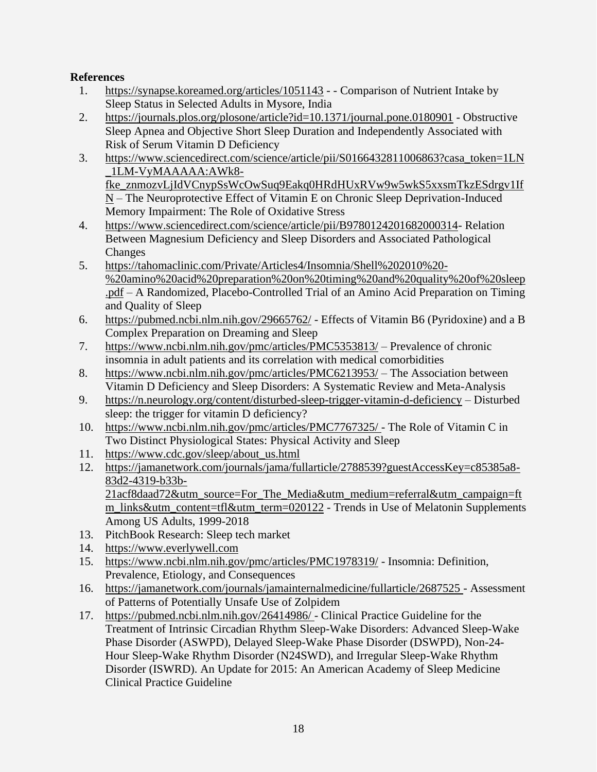# <span id="page-18-0"></span>**References**

- 1. [https://synapse.koreamed.org/articles/1051143](https://nam11.safelinks.protection.outlook.com/?url=https%3A%2F%2Fsynapse.koreamed.org%2Farticles%2F1051143&data=04%7C01%7CJDavis%40walton.uark.edu%7Caa91994afc51441d087208d9d20dc8c7%7C79c742c4e61c4fa5be89a3cb566a80d1%7C0%7C0%7C637771778904135159%7CUnknown%7CTWFpbGZsb3d8eyJWIjoiMC4wLjAwMDAiLCJQIjoiV2luMzIiLCJBTiI6Ik1haWwiLCJXVCI6Mn0%3D%7C3000&sdata=Dh0MlEAQSDr9CmbKJzxPMZbz9IoN9KYbVOsBMhiAD5E%3D&reserved=0) - Comparison of Nutrient Intake by Sleep Status in Selected Adults in Mysore, India
- 2. [https://journals.plos.org/plosone/article?id=10.1371/journal.pone.0180901](https://nam11.safelinks.protection.outlook.com/?url=https%3A%2F%2Fjournals.plos.org%2Fplosone%2Farticle%3Fid%3D10.1371%2Fjournal.pone.0180901&data=04%7C01%7CJDavis%40walton.uark.edu%7Caa91994afc51441d087208d9d20dc8c7%7C79c742c4e61c4fa5be89a3cb566a80d1%7C0%7C0%7C637771778904135159%7CUnknown%7CTWFpbGZsb3d8eyJWIjoiMC4wLjAwMDAiLCJQIjoiV2luMzIiLCJBTiI6Ik1haWwiLCJXVCI6Mn0%3D%7C3000&sdata=aUMMdyQKFoRVLLScrIpb76xMtzM6UEyR6Nil1ZqTXKU%3D&reserved=0) Obstructive Sleep Apnea and Objective Short Sleep Duration and Independently Associated with Risk of Serum Vitamin D Deficiency
- 3. [https://www.sciencedirect.com/science/article/pii/S0166432811006863?casa\\_token=1LN](https://nam11.safelinks.protection.outlook.com/?url=https%3A%2F%2Fwww.sciencedirect.com%2Fscience%2Farticle%2Fpii%2FS0166432811006863%3Fcasa_token%3D1LN_1LM-VyMAAAAA%3AAWk8-fke_znmozvLjIdVCnypSsWcOwSuq9Eakq0HRdHUxRVw9w5wkS5xxsmTkzESdrgv1IfN&data=04%7C01%7CJDavis%40walton.uark.edu%7Caa91994afc51441d087208d9d20dc8c7%7C79c742c4e61c4fa5be89a3cb566a80d1%7C0%7C0%7C637771778904135159%7CUnknown%7CTWFpbGZsb3d8eyJWIjoiMC4wLjAwMDAiLCJQIjoiV2luMzIiLCJBTiI6Ik1haWwiLCJXVCI6Mn0%3D%7C3000&sdata=sJ4ljcMv7oFMLoFowEeAX8rxsxODrOP%2Bk5%2FrrNSTVjw%3D&reserved=0) [\\_1LM-VyMAAAAA:AWk8](https://nam11.safelinks.protection.outlook.com/?url=https%3A%2F%2Fwww.sciencedirect.com%2Fscience%2Farticle%2Fpii%2FS0166432811006863%3Fcasa_token%3D1LN_1LM-VyMAAAAA%3AAWk8-fke_znmozvLjIdVCnypSsWcOwSuq9Eakq0HRdHUxRVw9w5wkS5xxsmTkzESdrgv1IfN&data=04%7C01%7CJDavis%40walton.uark.edu%7Caa91994afc51441d087208d9d20dc8c7%7C79c742c4e61c4fa5be89a3cb566a80d1%7C0%7C0%7C637771778904135159%7CUnknown%7CTWFpbGZsb3d8eyJWIjoiMC4wLjAwMDAiLCJQIjoiV2luMzIiLCJBTiI6Ik1haWwiLCJXVCI6Mn0%3D%7C3000&sdata=sJ4ljcMv7oFMLoFowEeAX8rxsxODrOP%2Bk5%2FrrNSTVjw%3D&reserved=0) [fke\\_znmozvLjIdVCnypSsWcOwSuq9Eakq0HRdHUxRVw9w5wkS5xxsmTkzESdrgv1If](https://nam11.safelinks.protection.outlook.com/?url=https%3A%2F%2Fwww.sciencedirect.com%2Fscience%2Farticle%2Fpii%2FS0166432811006863%3Fcasa_token%3D1LN_1LM-VyMAAAAA%3AAWk8-fke_znmozvLjIdVCnypSsWcOwSuq9Eakq0HRdHUxRVw9w5wkS5xxsmTkzESdrgv1IfN&data=04%7C01%7CJDavis%40walton.uark.edu%7Caa91994afc51441d087208d9d20dc8c7%7C79c742c4e61c4fa5be89a3cb566a80d1%7C0%7C0%7C637771778904135159%7CUnknown%7CTWFpbGZsb3d8eyJWIjoiMC4wLjAwMDAiLCJQIjoiV2luMzIiLCJBTiI6Ik1haWwiLCJXVCI6Mn0%3D%7C3000&sdata=sJ4ljcMv7oFMLoFowEeAX8rxsxODrOP%2Bk5%2FrrNSTVjw%3D&reserved=0) [N](https://nam11.safelinks.protection.outlook.com/?url=https%3A%2F%2Fwww.sciencedirect.com%2Fscience%2Farticle%2Fpii%2FS0166432811006863%3Fcasa_token%3D1LN_1LM-VyMAAAAA%3AAWk8-fke_znmozvLjIdVCnypSsWcOwSuq9Eakq0HRdHUxRVw9w5wkS5xxsmTkzESdrgv1IfN&data=04%7C01%7CJDavis%40walton.uark.edu%7Caa91994afc51441d087208d9d20dc8c7%7C79c742c4e61c4fa5be89a3cb566a80d1%7C0%7C0%7C637771778904135159%7CUnknown%7CTWFpbGZsb3d8eyJWIjoiMC4wLjAwMDAiLCJQIjoiV2luMzIiLCJBTiI6Ik1haWwiLCJXVCI6Mn0%3D%7C3000&sdata=sJ4ljcMv7oFMLoFowEeAX8rxsxODrOP%2Bk5%2FrrNSTVjw%3D&reserved=0) – The Neuroprotective Effect of Vitamin E on Chronic Sleep Deprivation-Induced Memory Impairment: The Role of Oxidative Stress
- 4. [https://www.sciencedirect.com/science/article/pii/B9780124201682000314-](https://nam11.safelinks.protection.outlook.com/?url=https%3A%2F%2Fwww.sciencedirect.com%2Fscience%2Farticle%2Fpii%2FB9780124201682000314&data=04%7C01%7CJDavis%40walton.uark.edu%7Caa91994afc51441d087208d9d20dc8c7%7C79c742c4e61c4fa5be89a3cb566a80d1%7C0%7C0%7C637771778904135159%7CUnknown%7CTWFpbGZsb3d8eyJWIjoiMC4wLjAwMDAiLCJQIjoiV2luMzIiLCJBTiI6Ik1haWwiLCJXVCI6Mn0%3D%7C3000&sdata=ESGZJy6WK6y3MVom7p7naHbavrdTPznq%2B8WrDUUnIEs%3D&reserved=0) Relation Between Magnesium Deficiency and Sleep Disorders and Associated Pathological Changes
- 5. [https://tahomaclinic.com/Private/Articles4/Insomnia/Shell%202010%20-](https://nam11.safelinks.protection.outlook.com/?url=https%3A%2F%2Ftahomaclinic.com%2FPrivate%2FArticles4%2FInsomnia%2FShell%25202010%2520-%2520amino%2520acid%2520preparation%2520on%2520timing%2520and%2520quality%2520of%2520sleep.pdf&data=04%7C01%7CJDavis%40walton.uark.edu%7Caa91994afc51441d087208d9d20dc8c7%7C79c742c4e61c4fa5be89a3cb566a80d1%7C0%7C0%7C637771778904135159%7CUnknown%7CTWFpbGZsb3d8eyJWIjoiMC4wLjAwMDAiLCJQIjoiV2luMzIiLCJBTiI6Ik1haWwiLCJXVCI6Mn0%3D%7C3000&sdata=BbxEtoppVQ6HsOxc6Wv48cDGDoMKkE9pzUHLaBc7tZU%3D&reserved=0) [%20amino%20acid%20preparation%20on%20timing%20and%20quality%20of%20sleep](https://nam11.safelinks.protection.outlook.com/?url=https%3A%2F%2Ftahomaclinic.com%2FPrivate%2FArticles4%2FInsomnia%2FShell%25202010%2520-%2520amino%2520acid%2520preparation%2520on%2520timing%2520and%2520quality%2520of%2520sleep.pdf&data=04%7C01%7CJDavis%40walton.uark.edu%7Caa91994afc51441d087208d9d20dc8c7%7C79c742c4e61c4fa5be89a3cb566a80d1%7C0%7C0%7C637771778904135159%7CUnknown%7CTWFpbGZsb3d8eyJWIjoiMC4wLjAwMDAiLCJQIjoiV2luMzIiLCJBTiI6Ik1haWwiLCJXVCI6Mn0%3D%7C3000&sdata=BbxEtoppVQ6HsOxc6Wv48cDGDoMKkE9pzUHLaBc7tZU%3D&reserved=0) [.pdf](https://nam11.safelinks.protection.outlook.com/?url=https%3A%2F%2Ftahomaclinic.com%2FPrivate%2FArticles4%2FInsomnia%2FShell%25202010%2520-%2520amino%2520acid%2520preparation%2520on%2520timing%2520and%2520quality%2520of%2520sleep.pdf&data=04%7C01%7CJDavis%40walton.uark.edu%7Caa91994afc51441d087208d9d20dc8c7%7C79c742c4e61c4fa5be89a3cb566a80d1%7C0%7C0%7C637771778904135159%7CUnknown%7CTWFpbGZsb3d8eyJWIjoiMC4wLjAwMDAiLCJQIjoiV2luMzIiLCJBTiI6Ik1haWwiLCJXVCI6Mn0%3D%7C3000&sdata=BbxEtoppVQ6HsOxc6Wv48cDGDoMKkE9pzUHLaBc7tZU%3D&reserved=0) – A Randomized, Placebo-Controlled Trial of an Amino Acid Preparation on Timing and Quality of Sleep
- 6. https://pubmed.ncbi.nlm.nih.gov/29665762/ Effects of Vitamin B6 (Pyridoxine) and a B Complex Preparation on Dreaming and Sleep
- 7. <https://www.ncbi.nlm.nih.gov/pmc/articles/PMC5353813/> Prevalence of chronic insomnia in adult patients and its correlation with medical comorbidities
- 8. <https://www.ncbi.nlm.nih.gov/pmc/articles/PMC6213953/> The Association between Vitamin D Deficiency and Sleep Disorders: A Systematic Review and Meta-Analysis
- 9. <https://n.neurology.org/content/disturbed-sleep-trigger-vitamin-d-deficiency> Disturbed sleep: the trigger for vitamin D deficiency?
- 10. https://www.ncbi.nlm.nih.gov/pmc/articles/PMC7767325/ The Role of Vitamin C in Two Distinct Physiological States: Physical Activity and Sleep
- 11. https://www.cdc.gov/sleep/about\_us.html
- 12. https://jamanetwork.com/journals/jama/fullarticle/2788539?guestAccessKey=c85385a8- 83d2-4319-b33b-

21acf8daad72&utm\_source=For\_The\_Media&utm\_medium=referral&utm\_campaign=ft m\_links&utm\_content=tfl&utm\_term=020122 - Trends in Use of Melatonin Supplements Among US Adults, 1999-2018

- 13. PitchBook Research: Sleep tech market
- 14. https://www.everlywell.com
- 15. https://www.ncbi.nlm.nih.gov/pmc/articles/PMC1978319/ Insomnia: Definition, Prevalence, Etiology, and Consequences
- 16. https://jamanetwork.com/journals/jamainternalmedicine/fullarticle/2687525 Assessment of Patterns of Potentially Unsafe Use of Zolpidem
- 17. https://pubmed.ncbi.nlm.nih.gov/26414986/ Clinical Practice Guideline for the Treatment of Intrinsic Circadian Rhythm Sleep-Wake Disorders: Advanced Sleep-Wake Phase Disorder (ASWPD), Delayed Sleep-Wake Phase Disorder (DSWPD), Non-24- Hour Sleep-Wake Rhythm Disorder (N24SWD), and Irregular Sleep-Wake Rhythm Disorder (ISWRD). An Update for 2015: An American Academy of Sleep Medicine Clinical Practice Guideline